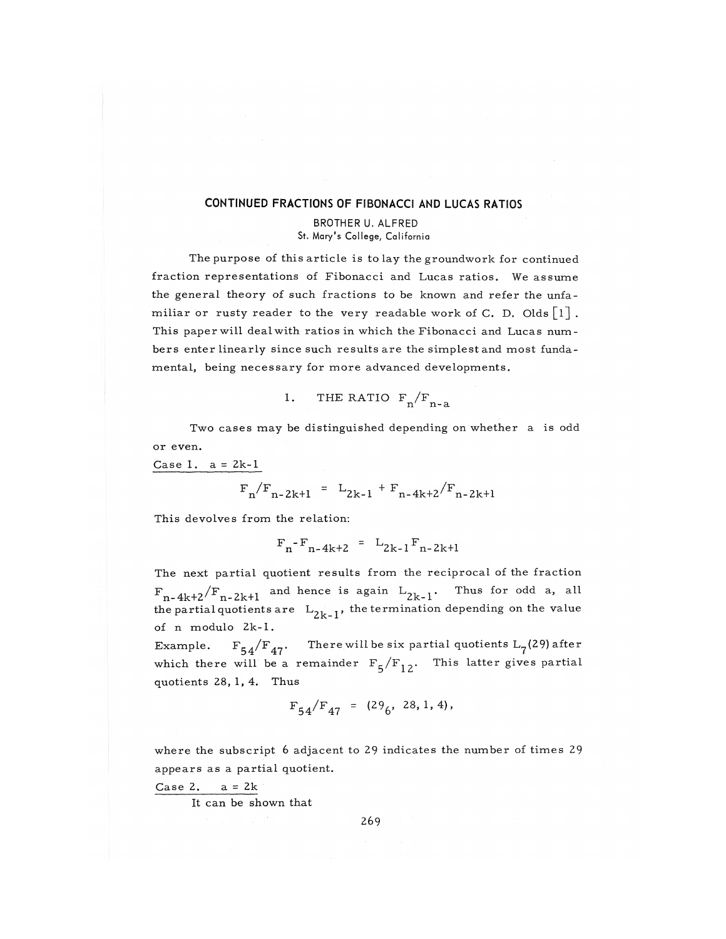### CONTINUED FRACTIONS OF FIBONACCI AND LUCAS RATIOS

#### BROTHER U. ALFRED St. Mary's College, California

The purpose of this article is to lay the groundwork for continued fraction representations of Fibonacci and Lucas ratios. We assume the general theory of such fractions to be known and refer the unfamiliar or rusty reader to the very readable work of C. D. Olds  $\lceil 1 \rceil$  . This paper will deal with ratios in which the Fibonacci and Lucas numbers enter linearly since such results are the simplest and most fundamental, being necessary for more advanced developments.

1. THE RATIO 
$$
F_n/F_{n-a}
$$

Two cases may be distinguished depending on whether a is odd or even.

Case 1.  $a = 2k-1$ 

$$
F_n/F_{n-2k+1} = L_{2k-1} + F_{n-4k+2}/F_{n-2k+1}
$$

This devolves from the relation:

 $F_n - F_{n-4k+2} = L_{2k-1} F_{n-2k+1}$ 

The next partial quotient results from the reciprocal of the fraction  $F_{n-4k+2}/F_{n-2k+1}$  and hence is again  $L_{2k-1}$ . Thus for odd a, all the partial quotients are  $L_{2k-1}$ , the termination depending on the value of n modulo 2k-1.

Example.  $F_{54}/F_{47}$ . There will be six partial quotients  $L_7(29)$  after which there will be a remainder  $F_5/F_{12}$ . This latter gives partial quotients 28, 1, 4. Thus

$$
F_{54}/F_{47} = (29_6, 28, 1, 4),
$$

where the subscript 6 adjacent to 29 indicates the number of times 29 appears as a partial quotient.

Case 2.  $a = 2k$ 

It can be shown that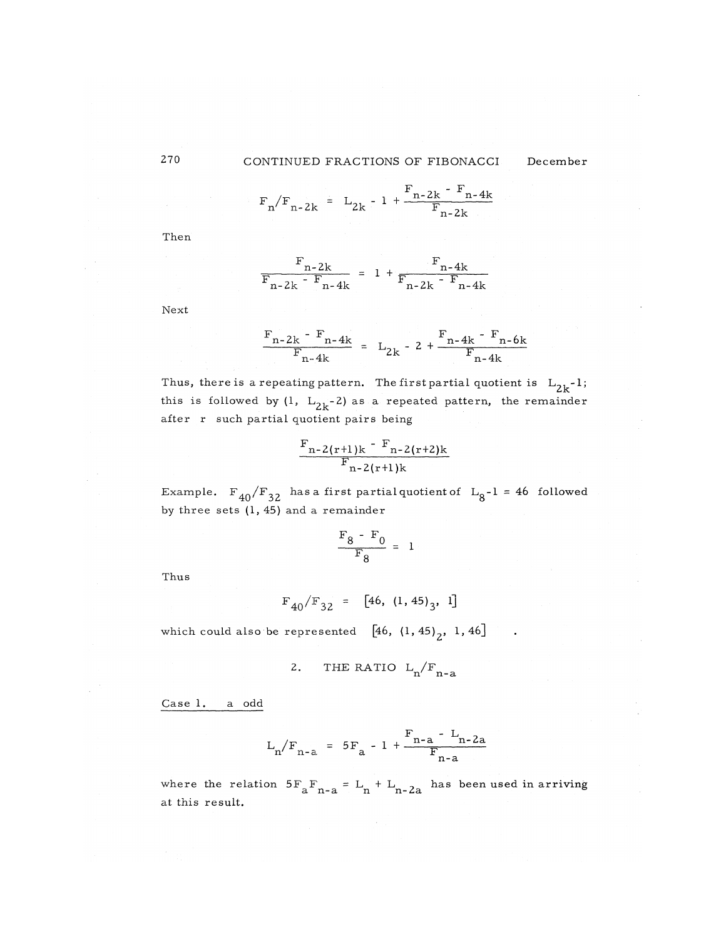## 270 CONTINUED FRACTIONS OF FIBONACCI December

$$
F_n/F_{n-2k} = L_{2k} - 1 + \frac{F_{n-2k} - F_{n-4k}}{F_{n-2k}}
$$

Then

$$
\frac{F_{n-2k}}{F_{n-2k} - F_{n-4k}} = 1 + \frac{F_{n-4k}}{F_{n-2k} - F_{n-4k}}
$$

Next

$$
\frac{F_{n-2k} - F_{n-4k}}{F_{n-4k}} = L_{2k} - 2 + \frac{F_{n-4k} - F_{n-6k}}{F_{n-4k}}
$$

Thus, there is a repeating pattern. The first partial quotient is  $L_{2k}^{-1}$ ; this is followed by (1,  $L_{2k}$ -2) as a repeated pattern, the remainder after r such partial quotient pairs being

$$
\frac{F_{n-2(r+1)k} - F_{n-2(r+2)k}}{F_{n-2(r+1)k}}
$$

Example.  $F_{40}/F_{32}$  has a first partial quotient of  $L_{8}-1 = 46$  followed by three sets (1, 45) and a remainder

$$
\frac{\mathrm{F}_8 - \mathrm{F}_0}{\mathrm{F}_8} = 1
$$

Thus

 $F_{40}/F_{32} = [46, (1, 45)]$ 

which could also be represented  $[46, (1, 45)<sub>2</sub>, 1, 46]$ 

2. THE RATIO 
$$
L_n/F_{n-a}
$$

Case 1. a odd

$$
L_n/F_{n-a} = 5F_a - 1 + \frac{F_{n-a} - L_{n-2a}}{F_{n-a}}
$$

where the relation  $5F$ <sub>n-2</sub> = L<sub>n</sub> + L<sub>n-22</sub> has been used in arriving a n-a n n-2a to an s at this result.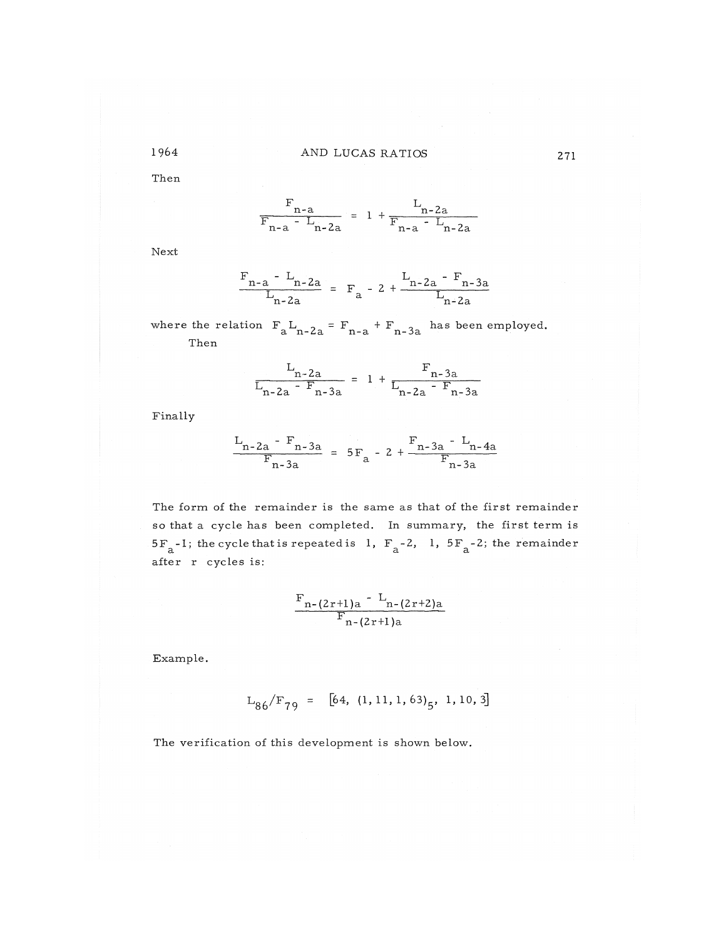## 1964 AND LUCAS RATIOS

Then

 $F_{n-a}$   $L_{n-2}$  $F_{n-a} - L_{n-2a} = 1 + F_{n-a} - L_{n-2}$ n - a n-Za n- a n-Za

Next

$$
\frac{F_{n-a} - L_{n-2a}}{L_{n-2a}} = F_a - 2 + \frac{L_{n-2a} - F_{n-3a}}{L_{n-2a}}
$$

where the relation  $F_2L_{n-2a} = F_{n-a} + F_{n-3a}$  has been employed.  $\alpha$  n- $\alpha$  n- $\alpha$  n- $\alpha$   $\alpha$ Then

$$
\frac{L_{n-2a}}{L_{n-2a} - F_{n-3a}} = 1 + \frac{F_{n-3a}}{L_{n-2a} - F_{n-3a}}
$$

Finally

$$
\frac{L_{n-2a} - F_{n-3a}}{F_{n-3a}} = 5F_a - 2 + \frac{F_{n-3a} - L_{n-4a}}{F_{n-3a}}
$$

The form of the remainder is the same as that of the first remainder so that a cycle has been completed. In summary, the first term is  $5F_a-1$ ; the cycle that is repeated is 1,  $F_a-2$ , 1,  $5F_a-2$ ; the remainder after r cycles is:

$$
\frac{F_{n-(2r+1)a} - L_{n-(2r+2)a}}{F_{n-(2r+1)a}}
$$

Example.

 $L_{86}/F_{79} = [64, (1, 11, 1, 63)_5, 1, 10, 3]$ 

The verification of this development is shown below.

271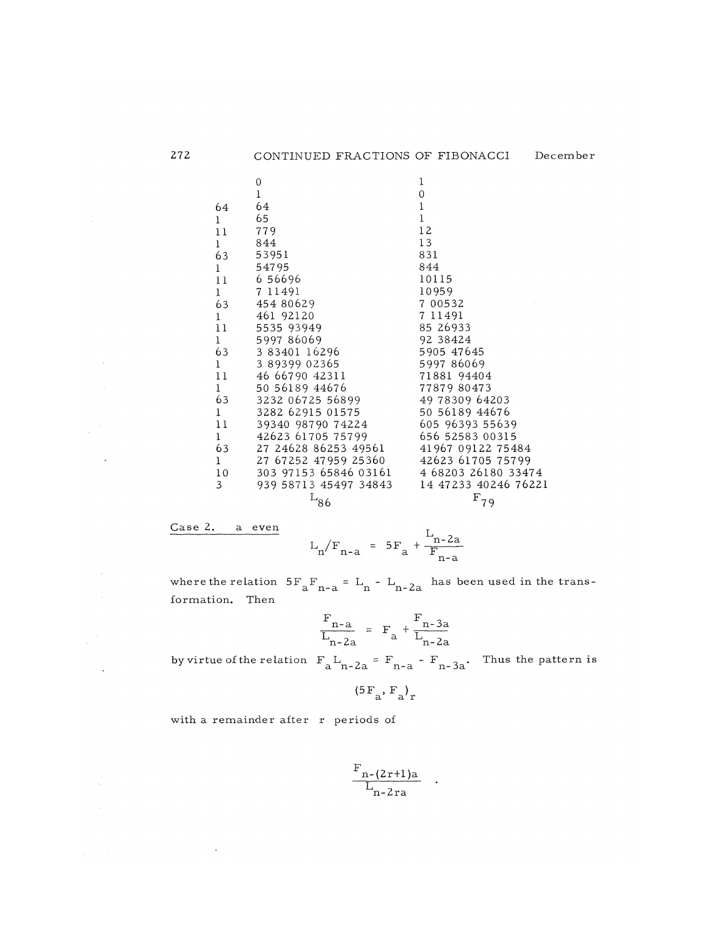| 272 |                 | CONTINUED FRACTIONS OF FIBONACCI          |                      | December |
|-----|-----------------|-------------------------------------------|----------------------|----------|
|     |                 | 0                                         | 1                    |          |
|     |                 | $\mathbf{l}$                              | $\Omega$             |          |
|     | 64              | 64                                        | $\bf{l}$             |          |
|     | $\mathbf{1}$    | 65                                        | $\mathbf{I}$         |          |
|     | 11              | 779                                       | 12                   |          |
|     | $\mathbf{1}$    | 844                                       | 13                   |          |
|     | 63              | 53951                                     | 831                  |          |
|     | $\mathbf{1}$    | 54795                                     | 844                  |          |
|     | 11              | 6 56696                                   | 10115                |          |
|     | 1               | 7 11491                                   | 10959                |          |
|     | 63              | 454 80629                                 | 7 00532              |          |
|     | $\mathbf{1}$    | 461 92120                                 | 7 11491              |          |
|     | 11              | 5535 93949                                | 85 26933             |          |
|     | $\mathbf{1}$    | 599786069                                 | 92 38424             |          |
|     | 63              | 3 83401 16296                             | 5905 47645           |          |
|     | $\mathbf{1}$    | 3 89399 02365                             | 599786069            |          |
|     | 11              | 46 66790 42311                            | 71881 94404          |          |
|     | $\mathbf{1}$    | 50 56189 44676                            | 77879 80473          |          |
|     | 63              | 3232 06725 56899                          | 49 78309 64203       |          |
|     | $\mathbf{1}$    | 3282 62915 01575                          | 50 56189 44676       |          |
|     | 11              | 39340 98790 74224                         | 605 96393 55639      |          |
|     | $\mathbf{1}$    | 42623 61705 75799                         | 656 52583 00315      |          |
|     | 63              | 27 24628 86253 49561                      | 41967 09122 75484    |          |
|     | $\mathbf{1}$    | 27 67252 47959 25360                      | 42623 61705 75799    |          |
|     | 10 <sup>°</sup> | 303 97153 65846 03161 4 68203 26180 33474 |                      |          |
|     | 3               | 939 58713 45497 34843                     | 14 47233 40246 76221 |          |
|     |                 | $L_{86}$                                  | $F_{79}$             |          |

Case 2. a even

 $\sim$   $\star$ 

 $\sim$   $\sim$ 

 $\frac{1}{2} \frac{1}{2} \frac{1}{2} \frac{1}{2} \frac{1}{2} \frac{1}{2}$ 

$$
L_n / F_{n-a} = 5F_a + \frac{L_{n-2a}}{F_{n-a}}
$$

where the relation  $5F$ <sub>n-2</sub> = L<sub>n</sub>-L<sub>n-2a</sub> has been used in the transa n- a n n-Za formation. Then

$$
\frac{\mathrm{F}_{n-a}}{\mathrm{L}_{n-2a}} = \mathrm{F}_a + \frac{\mathrm{F}_{n-3a}}{\mathrm{L}_{n-2a}}
$$

by virtue of the relation  $F_a L_{n-2a} = F_{n-a} - F_{n-3a}$ . Thus the pattern is

$$
({}^5\mathrm{F}_{\mathrm{a}},\mathrm{F}_{\mathrm{a}}\mathrm{)}_{\mathrm{r}}
$$

with a remainder after r periods of

$$
\frac{\mathrm{F}_{\mathrm{n}\text{-}\mathrm{(2r+1)a}}}{L_{\mathrm{n}\text{-}2\mathrm{ra}}}
$$

 $\ddot{\phantom{1}}$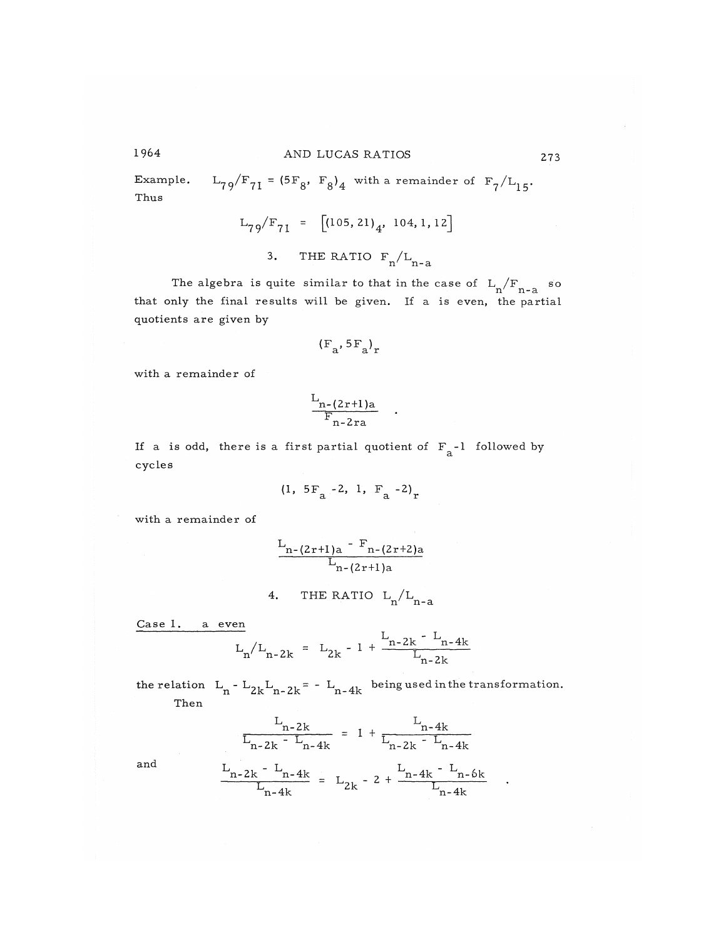# 1964 AND LUCAS RATIOS 273

Example.  $L_{79}/F_{71} = (5F_8, F_8)_4$  with a remainder of  $F_7/L_{15}$ . Thus

$$
L_{79}/F_{71} = [(105, 21)4, 104, 1, 12]
$$

3. THE RATIO  $F_n/L_{n-a}$ n n-a

The algebra is quite similar to that in the case of  $L_{\rm g}/F_{\rm g}$  so that only the final results will be given. If a is even, the partial quotients are given by que o transformada en termento de la contrada en el contrado de la contrada en el contrado de la contrada en e<br>En el contrado de la contrada en el contrado de la contrada en el contrado de la contrada en el contrado de la

$$
(\mathrm{F}_{a}, \mathrm{5F}_{a})_{\mathrm{r}}
$$

with a remainder of

$$
\frac{\Gamma_{n-(2r+1)a}}{\Gamma_{n-2ra}}
$$

If a is odd, there is a first partial quotient of  $F_a$ -1 followed by cycles

$$
(1, 5F_a - 2, 1, F_a - 2)_r
$$

with a remainder of

$$
\frac{L_{n-(2r+1)a} - F_{n-(2r+2)a}}{L_{n-(2r+1)a}}
$$

4. THE RATIO L<sub>1</sub>/L<sub>1</sub>  $n - a$ 

Case 1. a even

$$
L_n / L_{n-2k} = L_{2k} - 1 + \frac{L_{n-2k} - L_{n-4k}}{L_{n-2k}}
$$

the relation  $L_n - L_{2k}L_{n-2k} = -L_{n-4k}$  being used in the transformation. Then

$$
\frac{L_{n-2k}}{L_{n-2k} - L_{n-4k}} = 1 + \frac{L_{n-4k}}{L_{n-2k} - L_{n-4k}}
$$
  

$$
L_{n-4k} - L_{n-4k}
$$

and 
$$
\frac{L_{n-2k} - L_{n-4k}}{L_{n-4k}} = L_{2k} - 2 + \frac{L_{n-4k} - L_{n-6k}}{L_{n-4k}}
$$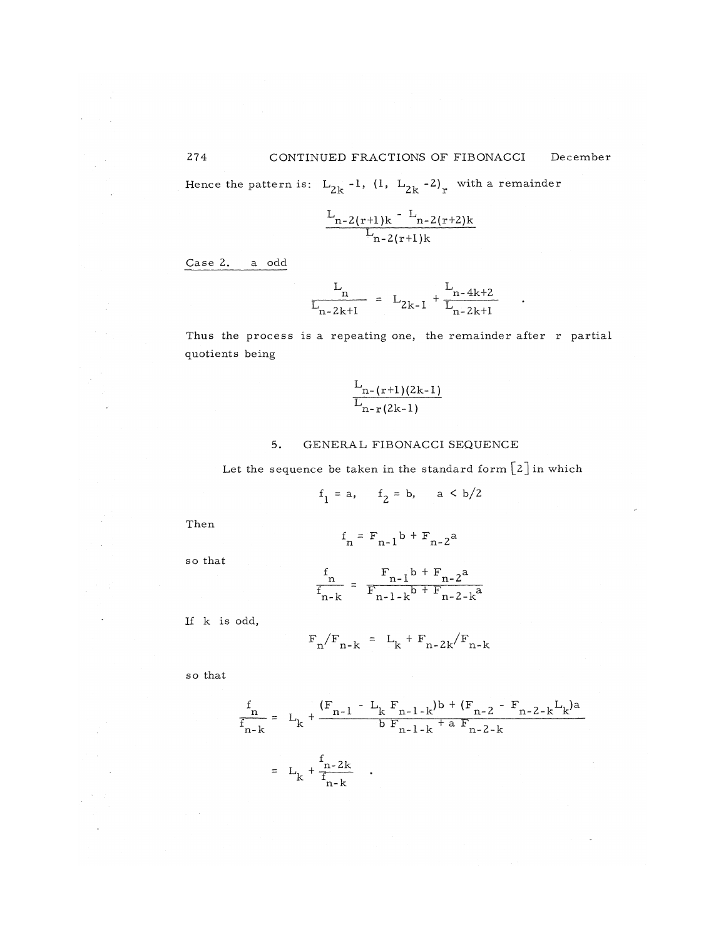Hence the pattern is:  $L_{2k}$  -1, (1,  $L_{2k}$  -2), with a remainder

$$
\frac{L_{n-2(r+1)k} - L_{n-2(r+2)k}}{L_{n-2(r+1)k}}
$$

Case 2. a odd

$$
\frac{L_n}{L_{n-2k+1}} = L_{2k-1} + \frac{L_{n-4k+2}}{L_{n-2k+1}}
$$

Thus the process is a repeating one, the remainder after  $r$  partial quotients being

$$
\frac{L_{n-(r+1)(2k-1)}}{L_{n-r(2k-1)}}
$$

#### 5. GENERAL FIBONACCI SEQUENCE

Let the sequence be taken in the standard form  $[2]$  in which

$$
f_1 = a, \quad f_2 = b, \quad a < b/2
$$

Then

so that

$$
f_n = F_{n-1}b + F_{n-2}a
$$

$$
\frac{f_{n}}{f_{n-k}} = \frac{F_{n-1}b + F_{n-2}a}{F_{n-1-k}b + F_{n-2-k}a}
$$

If k is odd,

$$
F_n/F_{n-k} = L_k + F_{n-2k}/F_{n-k}
$$

so that

$$
\frac{f_{n}}{f_{n-k}} = L_{k} + \frac{(F_{n-1} - L_{k} F_{n-1-k})b + (F_{n-2} - F_{n-2-k} L_{k})a}{b F_{n-1-k} + a F_{n-2-k}}
$$
\n
$$
= L_{k} + \frac{f_{n-2k}}{f_{n-k}}.
$$

 $\bar{\alpha}$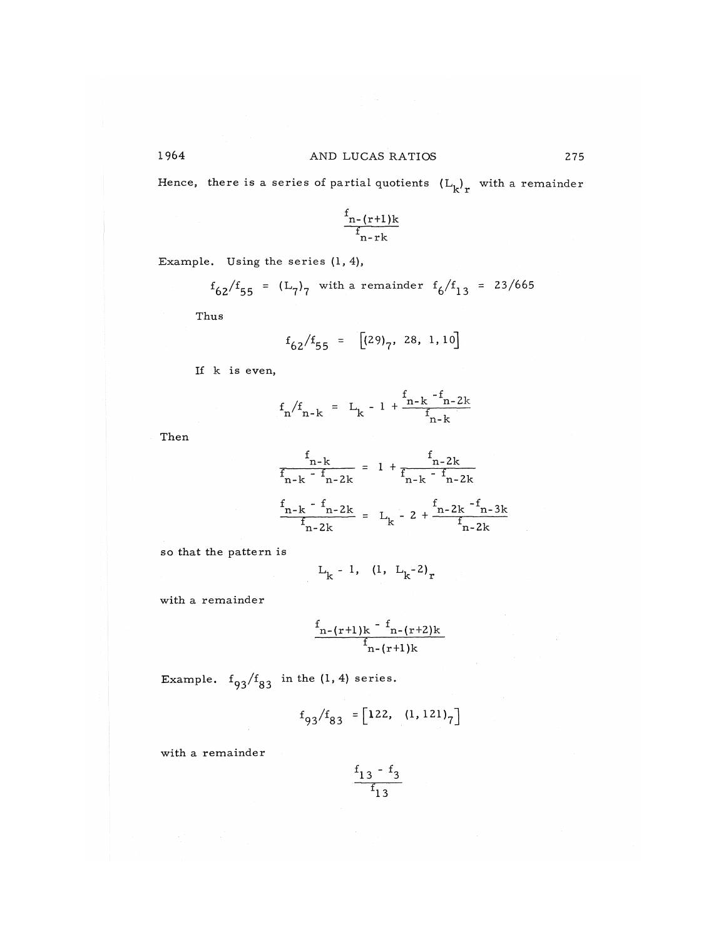## 1964 AND LUCAS RATIOS 275

*K.* **r** 

Hence, there is a series of partial quotients  $(L_{\rm L})$  with a remainder

$$
\frac{f_{n-(r+1)k}}{f_{n-rk}}
$$

Example. Using the series 
$$
(1, 4)
$$
,

$$
f_{62}/f_{55} = (L_7)_7
$$
 with a remainder  $f_6/f_{13} = 23/665$ 

Thus

$$
f_{62}/f_{55} = [(29)_7, 28, 1, 10]
$$

If k is even,

$$
f_n/f_{n-k} = L_k - 1 + \frac{f_{n-k} - f_{n-2k}}{f_{n-k}}
$$

Then

$$
\frac{f_{n-k}}{f_{n-k} - f_{n-2k}} = 1 + \frac{f_{n-2k}}{f_{n-k} - f_{n-2k}}
$$
\n
$$
\frac{f_{n-k} - f_{n-2k}}{f_{n-2k}} = L_{k} - 2 + \frac{f_{n-2k} - f_{n-3k}}{f_{n-2k}}
$$

so that the pattern is

$$
L_k - 1
$$
, (1,  $L_k^{-2}$ )<sub>r</sub>

with a remainder

$$
\frac{f_{n-(r+1)k} - f_{n-(r+2)k}}{f_{n-(r+1)k}}
$$

Example.  $f_{93}/f_{83}$  in the (1,4) series.

$$
f_{93}/f_{83} = [122, (1, 121)_7]
$$

with a remainder

$$
\frac{\begin{array}{c} f_{13} - f_3 \\ f_{13} \end{array}}{f_{13}}
$$